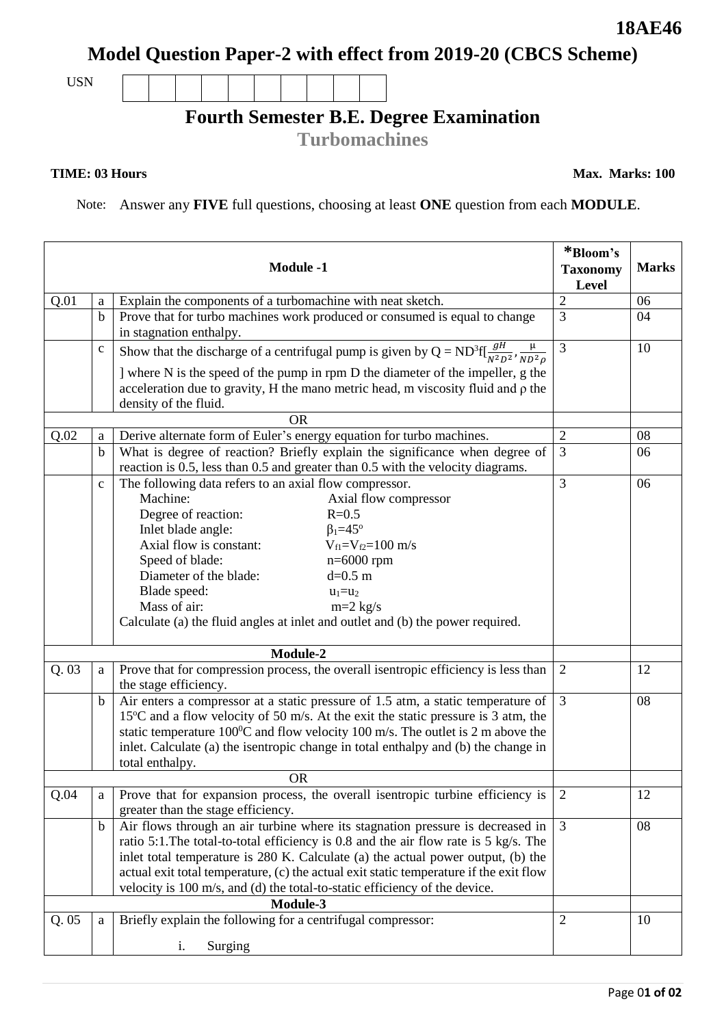## **Model Question Paper-2 with effect from 2019-20 (CBCS Scheme)**

USN

## **Fourth Semester B.E. Degree Examination**

**Turbomachines**

## **TIME: 03 Hours**

**Max. Marks: 100**

Note: Answer any **FIVE** full questions, choosing at least **ONE** question from each **MODULE**.

|          |             | <b>Module -1</b>                                                                                                                                                                                                                                                                                                                                                                                                                                               | *Bloom's<br><b>Taxonomy</b><br><b>Level</b> | <b>Marks</b> |
|----------|-------------|----------------------------------------------------------------------------------------------------------------------------------------------------------------------------------------------------------------------------------------------------------------------------------------------------------------------------------------------------------------------------------------------------------------------------------------------------------------|---------------------------------------------|--------------|
| Q.01     | a           | Explain the components of a turbomachine with neat sketch.                                                                                                                                                                                                                                                                                                                                                                                                     | $\overline{2}$                              | 06           |
|          | $\mathbf b$ | Prove that for turbo machines work produced or consumed is equal to change<br>in stagnation enthalpy.                                                                                                                                                                                                                                                                                                                                                          | 3                                           | 04           |
|          | $\mathbf C$ | Show that the discharge of a centrifugal pump is given by $Q = ND^3f[\frac{gH}{N^2D^2}, \frac{\mu}{ND^2\rho}]$<br>] where N is the speed of the pump in rpm D the diameter of the impeller, g the<br>acceleration due to gravity, H the mano metric head, m viscosity fluid and $\rho$ the<br>density of the fluid.                                                                                                                                            | 3                                           | 10           |
|          |             | <b>OR</b>                                                                                                                                                                                                                                                                                                                                                                                                                                                      |                                             |              |
| Q.02     | a           | Derive alternate form of Euler's energy equation for turbo machines.                                                                                                                                                                                                                                                                                                                                                                                           | $\overline{2}$                              | 08           |
|          | $\mathbf b$ | What is degree of reaction? Briefly explain the significance when degree of<br>reaction is 0.5, less than 0.5 and greater than 0.5 with the velocity diagrams.                                                                                                                                                                                                                                                                                                 | 3                                           | 06           |
|          | $\mathbf c$ | The following data refers to an axial flow compressor.<br>Machine:<br>Axial flow compressor<br>Degree of reaction:<br>$R=0.5$<br>Inlet blade angle:<br>$\beta_1 = 45^\circ$<br>Axial flow is constant:<br>$V_{f1} = V_{f2} = 100$ m/s<br>Speed of blade:<br>$n=6000$ rpm<br>Diameter of the blade:<br>$d=0.5$ m<br>Blade speed:<br>$u_1 = u_2$<br>Mass of air:<br>$m=2$ kg/s<br>Calculate (a) the fluid angles at inlet and outlet and (b) the power required. | 3                                           | 06           |
| Module-2 |             |                                                                                                                                                                                                                                                                                                                                                                                                                                                                |                                             |              |
| Q.03     | a           | Prove that for compression process, the overall isentropic efficiency is less than<br>the stage efficiency.                                                                                                                                                                                                                                                                                                                                                    | 2                                           | 12           |
|          | $\mathbf b$ | Air enters a compressor at a static pressure of 1.5 atm, a static temperature of<br>15 <sup>o</sup> C and a flow velocity of 50 m/s. At the exit the static pressure is 3 atm, the<br>static temperature $100^{\circ}$ C and flow velocity 100 m/s. The outlet is 2 m above the<br>inlet. Calculate (a) the isentropic change in total enthalpy and (b) the change in<br>total enthalpy.                                                                       | $\overline{3}$                              | 08           |
|          |             | <b>OR</b>                                                                                                                                                                                                                                                                                                                                                                                                                                                      |                                             |              |
| Q.04     | a           | Prove that for expansion process, the overall is entropic turbine efficiency is<br>greater than the stage efficiency.                                                                                                                                                                                                                                                                                                                                          | -2                                          | 12           |
|          | $\mathbf b$ | Air flows through an air turbine where its stagnation pressure is decreased in<br>ratio 5:1. The total-to-total efficiency is 0.8 and the air flow rate is 5 kg/s. The<br>inlet total temperature is 280 K. Calculate (a) the actual power output, (b) the<br>actual exit total temperature, (c) the actual exit static temperature if the exit flow<br>velocity is 100 m/s, and (d) the total-to-static efficiency of the device.<br>Module-3                 | 3                                           | 08           |
| Q.05     | a           | Briefly explain the following for a centrifugal compressor:                                                                                                                                                                                                                                                                                                                                                                                                    | $\overline{2}$                              | 10           |
|          |             | Surging<br>i.                                                                                                                                                                                                                                                                                                                                                                                                                                                  |                                             |              |